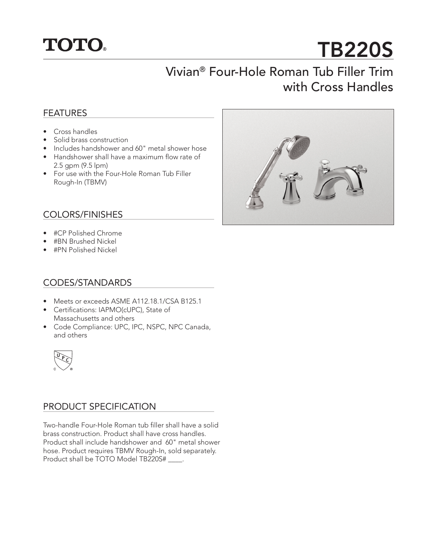

# TB220S

## Vivian® Four-Hole Roman Tub Filler Trim with Cross Handles

#### **FEATURES**

- Cross handles
- Solid brass construction
- Includes handshower and 60" metal shower hose
- Handshower shall have a maximum flow rate of 2.5 gpm (9.5 lpm)
- For use with the Four-Hole Roman Tub Filler Rough-In (TBMV)

#### COLORS/FINISHES

- #CP Polished Chrome
- #BN Brushed Nickel
- #PN Polished Nickel

#### CODES/STANDARDS

- Meets or exceeds ASME A112.18.1/CSA B125.1
- Certifications: IAPMO(cUPC), State of Massachusetts and others
- Code Compliance: UPC, IPC, NSPC, NPC Canada, and others



#### PRODUCT SPECIFICATION

Two-handle Four-Hole Roman tub filler shall have a solid brass construction. Product shall have cross handles. Product shall include handshower and 60" metal shower hose. Product requires TBMV Rough-In, sold separately. Product shall be TOTO Model TB220S# \_\_\_\_.